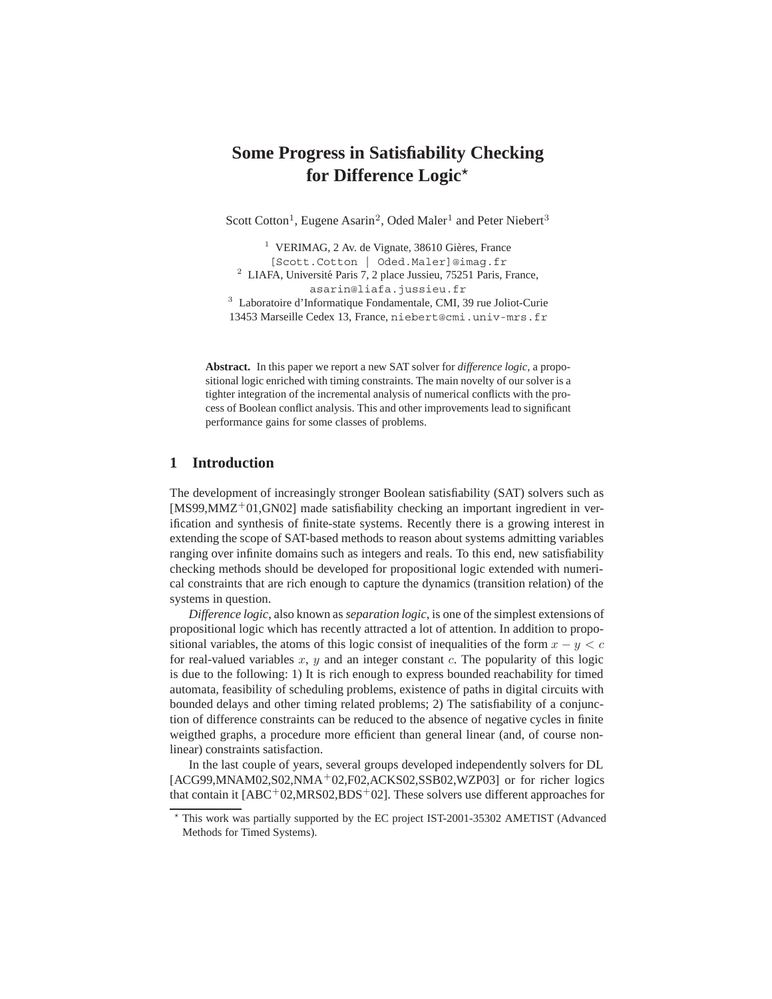# **Some Progress in Satisfiability Checking for Difference Logic***-*

Scott Cotton<sup>1</sup>, Eugene Asarin<sup>2</sup>, Oded Maler<sup>1</sup> and Peter Niebert<sup>3</sup>

<sup>1</sup> VERIMAG, 2 Av. de Vignate, 38610 Gières, France [Scott.Cotton | Oded.Maler]@imag.fr <sup>2</sup> LIAFA, Université Paris 7, 2 place Jussieu, 75251 Paris, France, asarin@liafa.jussieu.fr <sup>3</sup> Laboratoire d'Informatique Fondamentale, CMI, 39 rue Joliot-Curie 13453 Marseille Cedex 13, France, niebert@cmi.univ-mrs.fr

**Abstract.** In this paper we report a new SAT solver for *difference logic*, a propositional logic enriched with timing constraints. The main novelty of our solver is a tighter integration of the incremental analysis of numerical conflicts with the process of Boolean conflict analysis. This and other improvements lead to significant performance gains for some classes of problems.

## **1 Introduction**

The development of increasingly stronger Boolean satisfiability (SAT) solvers such as [MS99,MMZ<sup>+</sup>01,GN02] made satisfiability checking an important ingredient in verification and synthesis of finite-state systems. Recently there is a growing interest in extending the scope of SAT-based methods to reason about systems admitting variables ranging over infinite domains such as integers and reals. To this end, new satisfiability checking methods should be developed for propositional logic extended with numerical constraints that are rich enough to capture the dynamics (transition relation) of the systems in question.

*Difference logic*, also known as *separation logic*, is one of the simplest extensions of propositional logic which has recently attracted a lot of attention. In addition to propositional variables, the atoms of this logic consist of inequalities of the form  $x - y < c$ for real-valued variables  $x$ ,  $y$  and an integer constant  $c$ . The popularity of this logic is due to the following: 1) It is rich enough to express bounded reachability for timed automata, feasibility of scheduling problems, existence of paths in digital circuits with bounded delays and other timing related problems; 2) The satisfiability of a conjunction of difference constraints can be reduced to the absence of negative cycles in finite weigthed graphs, a procedure more efficient than general linear (and, of course nonlinear) constraints satisfaction.

In the last couple of years, several groups developed independently solvers for DL [ACG99,MNAM02,S02,NMA<sup>+</sup>02,F02,ACKS02,SSB02,WZP03] or for richer logics that contain it  $[ABC^+02, MRS02, BDS^+02]$ . These solvers use different approaches for

<sup>-</sup> This work was partially supported by the EC project IST-2001-35302 AMETIST (Advanced Methods for Timed Systems).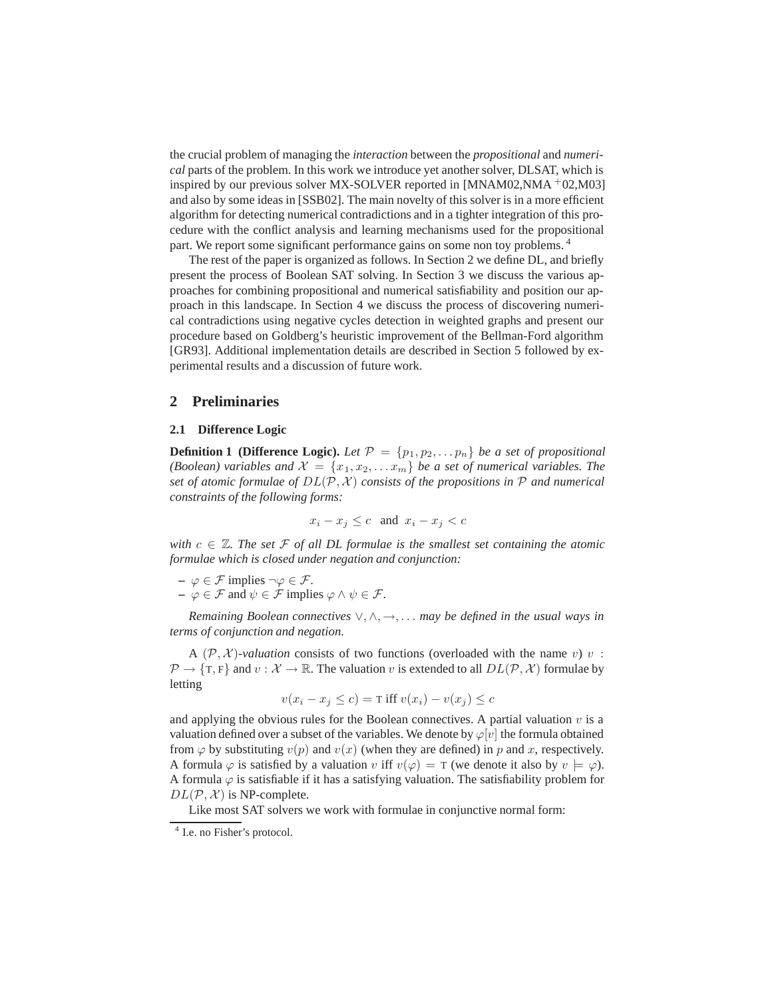the crucial problem of managing the *interaction* between the *propositional* and *numerical* parts of the problem. In this work we introduce yet another solver, DLSAT, which is inspired by our previous solver  $MX$ -SOLVER reported in  $[MNAM02,NMA +02,M03]$ and also by some ideas in [SSB02]. The main novelty of this solver is in a more efficient algorithm for detecting numerical contradictions and in a tighter integration of this procedure with the conflict analysis and learning mechanisms used for the propositional part. We report some significant performance gains on some non toy problems. <sup>4</sup>

The rest of the paper is organized as follows. In Section 2 we define DL, and briefly present the process of Boolean SAT solving. In Section 3 we discuss the various approaches for combining propositional and numerical satisfiability and position our approach in this landscape. In Section 4 we discuss the process of discovering numerical contradictions using negative cycles detection in weighted graphs and present our procedure based on Goldberg's heuristic improvement of the Bellman-Ford algorithm [GR93]. Additional implementation details are described in Section 5 followed by experimental results and a discussion of future work.

## **2 Preliminaries**

#### **2.1 Difference Logic**

**Definition 1 (Difference Logic).** Let  $P = \{p_1, p_2, \ldots, p_n\}$  be a set of propositional *(Boolean) variables and*  $\mathcal{X} = \{x_1, x_2, \ldots x_m\}$  *be a set of numerical variables. The set of atomic formulae of* DL(P, <sup>X</sup>) *consists of the propositions in* <sup>P</sup> *and numerical constraints of the following forms:*

$$
x_i - x_j \le c \quad \text{and} \quad x_i - x_j < c
$$

*with*  $c \in \mathbb{Z}$ . The set F of all DL formulae is the smallest set containing the atomic *formulae which is closed under negation and conjunction:*

- **–** <sup>ϕ</sup> ∈ F implies <sup>¬</sup><sup>ϕ</sup> ∈ F.
- $\varphi \in \mathcal{F}$  and  $\psi \in \mathcal{F}$  implies  $\varphi \wedge \psi \in \mathcal{F}$ .

*Remaining Boolean connectives* <sup>∨</sup>, <sup>∧</sup>, <sup>→</sup>,... *may be defined in the usual ways in terms of conjunction and negation.*

A  $(\mathcal{P}, \mathcal{X})$ -*valuation* consists of two functions (overloaded with the name v) v:  $\mathcal{P} \to \{\text{T}, \text{F}\}\$ and  $v : \mathcal{X} \to \mathbb{R}$ . The valuation v is extended to all  $DL(\mathcal{P}, \mathcal{X})$  formulae by letting

$$
v(x_i - x_j \le c) = \text{T iff } v(x_i) - v(x_j) \le c
$$

and applying the obvious rules for the Boolean connectives. A partial valuation  $v$  is a valuation defined over a subset of the variables. We denote by  $\varphi[v]$  the formula obtained from  $\varphi$  by substituting  $v(p)$  and  $v(x)$  (when they are defined) in p and x, respectively. A formula  $\varphi$  is satisfied by a valuation v iff  $v(\varphi) = \tau$  (we denote it also by  $v \models \varphi$ ). A formula  $\varphi$  is satisfiable if it has a satisfying valuation. The satisfiability problem for  $DL(P, X)$  is NP-complete.

Like most SAT solvers we work with formulae in conjunctive normal form:

<sup>4</sup> I.e. no Fisher's protocol.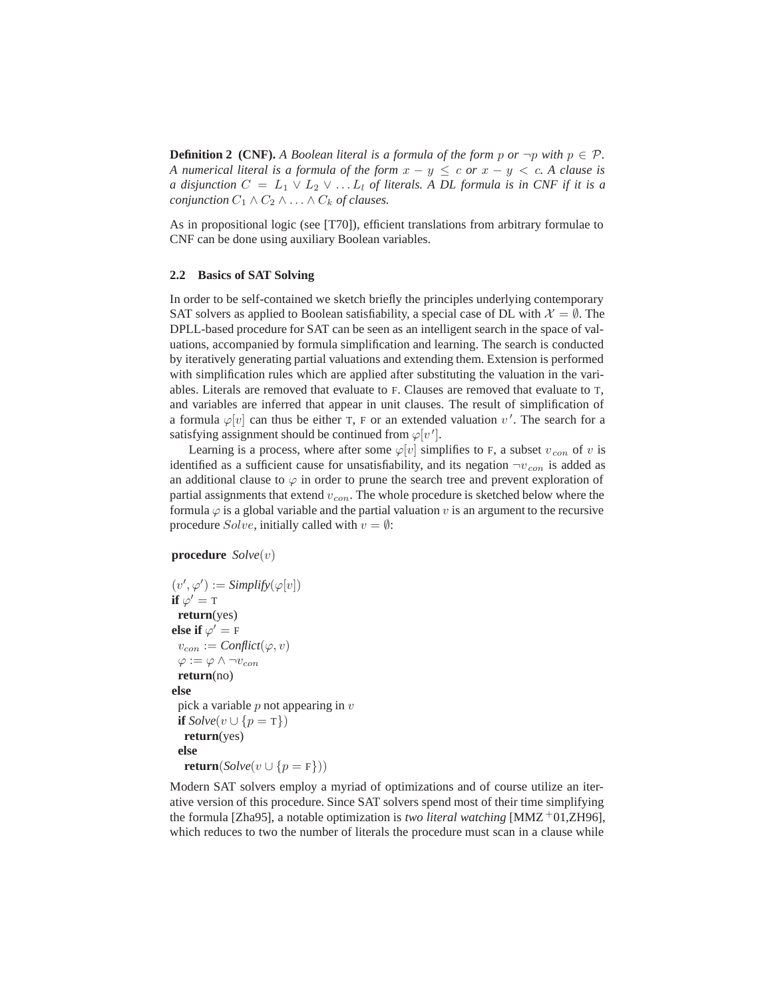**Definition 2 (CNF).** A Boolean literal is a formula of the form p or  $\neg p$  with  $p \in \mathcal{P}$ . *A* numerical literal is a formula of the form  $x - y \leq c$  or  $x - y \leq c$ . A clause is *a disjunction*  $C = L_1 \vee L_2 \vee \ldots L_l$  *of literals. A DL formula is in CNF if it is a conjunction*  $C_1 \wedge C_2 \wedge \ldots \wedge C_k$  *of clauses.* 

As in propositional logic (see [T70]), efficient translations from arbitrary formulae to CNF can be done using auxiliary Boolean variables.

#### **2.2 Basics of SAT Solving**

In order to be self-contained we sketch briefly the principles underlying contemporary SAT solvers as applied to Boolean satisfiability, a special case of DL with  $\mathcal{X} = \emptyset$ . The DPLL-based procedure for SAT can be seen as an intelligent search in the space of valuations, accompanied by formula simplification and learning. The search is conducted by iteratively generating partial valuations and extending them. Extension is performed with simplification rules which are applied after substituting the valuation in the variables. Literals are removed that evaluate to F. Clauses are removed that evaluate to T, and variables are inferred that appear in unit clauses. The result of simplification of a formula  $\varphi[v]$  can thus be either T, F or an extended valuation  $v'$ . The search for a satisfying assignment should be continued from  $\varphi[v']$ .

Learning is a process, where after some  $\varphi[v]$  simplifies to F, a subset  $v_{con}$  of v is identified as a sufficient cause for unsatisfiability, and its negation  $\neg v_{con}$  is added as an additional clause to  $\varphi$  in order to prune the search tree and prevent exploration of partial assignments that extend v*con*. The whole procedure is sketched below where the formula  $\varphi$  is a global variable and the partial valuation v is an argument to the recursive procedure  $Solve$ , initially called with  $v = \emptyset$ :

## **procedure** *Solve*(v)

```
(v', \varphi') := Simplify(\varphi[v])if \varphi' = Treturn(yes)
else if \varphi' = Fv_{con} := \textit{Conflict}(\varphi, v)\varphi := \varphi \wedge \neg v_{con}return(no)
else
 pick a variable p not appearing in vif Solve(v \cup \{p = \text{T}\})return(yes)
 else
   return(Solve(v \cup \{p = F\}))
```
Modern SAT solvers employ a myriad of optimizations and of course utilize an iterative version of this procedure. Since SAT solvers spend most of their time simplifying the formula [Zha95], a notable optimization is *two literal watching* [MMZ <sup>+</sup>01,ZH96], which reduces to two the number of literals the procedure must scan in a clause while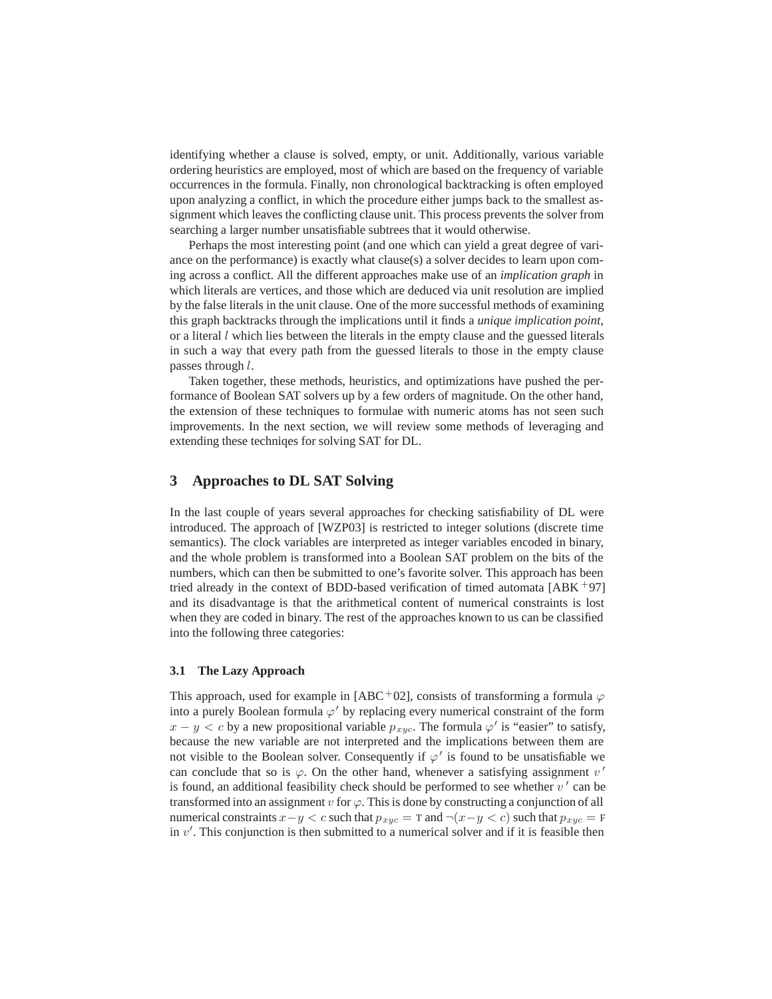identifying whether a clause is solved, empty, or unit. Additionally, various variable ordering heuristics are employed, most of which are based on the frequency of variable occurrences in the formula. Finally, non chronological backtracking is often employed upon analyzing a conflict, in which the procedure either jumps back to the smallest assignment which leaves the conflicting clause unit. This process prevents the solver from searching a larger number unsatisfiable subtrees that it would otherwise.

Perhaps the most interesting point (and one which can yield a great degree of variance on the performance) is exactly what clause(s) a solver decides to learn upon coming across a conflict. All the different approaches make use of an *implication graph* in which literals are vertices, and those which are deduced via unit resolution are implied by the false literals in the unit clause. One of the more successful methods of examining this graph backtracks through the implications until it finds a *unique implication point*, or a literal  $l$  which lies between the literals in the empty clause and the guessed literals in such a way that every path from the guessed literals to those in the empty clause passes through l.

Taken together, these methods, heuristics, and optimizations have pushed the performance of Boolean SAT solvers up by a few orders of magnitude. On the other hand, the extension of these techniques to formulae with numeric atoms has not seen such improvements. In the next section, we will review some methods of leveraging and extending these techniqes for solving SAT for DL.

## **3 Approaches to DL SAT Solving**

In the last couple of years several approaches for checking satisfiability of DL were introduced. The approach of [WZP03] is restricted to integer solutions (discrete time semantics). The clock variables are interpreted as integer variables encoded in binary, and the whole problem is transformed into a Boolean SAT problem on the bits of the numbers, which can then be submitted to one's favorite solver. This approach has been tried already in the context of BDD-based verification of timed automata  $[ABK^+97]$ and its disadvantage is that the arithmetical content of numerical constraints is lost when they are coded in binary. The rest of the approaches known to us can be classified into the following three categories:

#### **3.1 The Lazy Approach**

This approach, used for example in [ABC+02], consists of transforming a formula  $\varphi$ into a purely Boolean formula  $\varphi'$  by replacing every numerical constraint of the form  $x - y < c$  by a new propositional variable  $p_{xyc}$ . The formula  $\varphi'$  is "easier" to satisfy, because the new variable are not interpreted and the implications between them are not visible to the Boolean solver. Consequently if  $\varphi'$  is found to be unsatisfiable we can conclude that so is  $\varphi$ . On the other hand, whenever a satisfying assignment  $v'$ is found, an additional feasibility check should be performed to see whether  $v'$  can be transformed into an assignment v for  $\varphi$ . This is done by constructing a conjunction of all numerical constraints  $x - y < c$  such that  $p_{xyc} = T$  and  $\neg(x - y < c)$  such that  $p_{xyc} = F$ in  $v'$ . This conjunction is then submitted to a numerical solver and if it is feasible then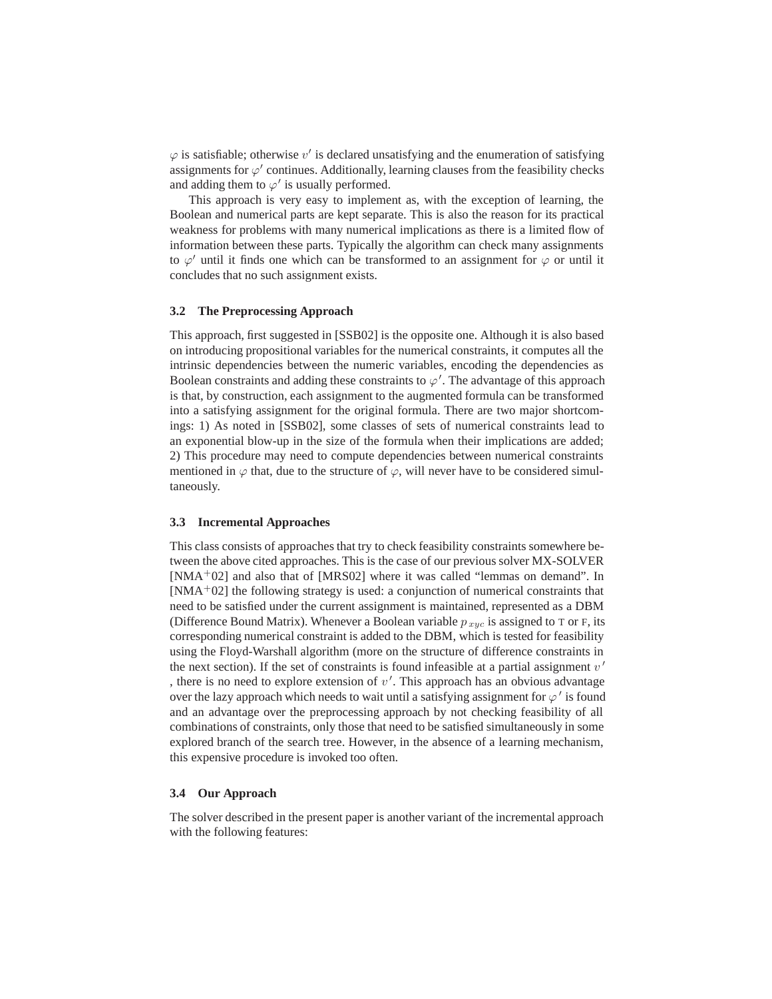$\varphi$  is satisfiable; otherwise  $v'$  is declared unsatisfying and the enumeration of satisfying assignments for  $\varphi'$  continues. Additionally, learning clauses from the feasibility checks and adding them to  $\varphi'$  is usually performed.

This approach is very easy to implement as, with the exception of learning, the Boolean and numerical parts are kept separate. This is also the reason for its practical weakness for problems with many numerical implications as there is a limited flow of information between these parts. Typically the algorithm can check many assignments to  $\varphi'$  until it finds one which can be transformed to an assignment for  $\varphi$  or until it concludes that no such assignment exists.

## **3.2 The Preprocessing Approach**

This approach, first suggested in [SSB02] is the opposite one. Although it is also based on introducing propositional variables for the numerical constraints, it computes all the intrinsic dependencies between the numeric variables, encoding the dependencies as Boolean constraints and adding these constraints to  $\varphi'$ . The advantage of this approach is that, by construction, each assignment to the augmented formula can be transformed into a satisfying assignment for the original formula. There are two major shortcomings: 1) As noted in [SSB02], some classes of sets of numerical constraints lead to an exponential blow-up in the size of the formula when their implications are added; 2) This procedure may need to compute dependencies between numerical constraints mentioned in  $\varphi$  that, due to the structure of  $\varphi$ , will never have to be considered simultaneously.

#### **3.3 Incremental Approaches**

This class consists of approaches that try to check feasibility constraints somewhere between the above cited approaches. This is the case of our previous solver MX-SOLVER  $[NMA<sup>+</sup>02]$  and also that of  $[NRS02]$  where it was called "lemmas on demand". In  $[NMA<sup>+</sup>02]$  the following strategy is used: a conjunction of numerical constraints that need to be satisfied under the current assignment is maintained, represented as a DBM (Difference Bound Matrix). Whenever a Boolean variable  $p_{xuc}$  is assigned to T or F, its corresponding numerical constraint is added to the DBM, which is tested for feasibility using the Floyd-Warshall algorithm (more on the structure of difference constraints in the next section). If the set of constraints is found infeasible at a partial assignment  $v'$ , there is no need to explore extension of  $v'$ . This approach has an obvious advantage over the lazy approach which needs to wait until a satisfying assignment for  $\varphi'$  is found and an advantage over the preprocessing approach by not checking feasibility of all combinations of constraints, only those that need to be satisfied simultaneously in some explored branch of the search tree. However, in the absence of a learning mechanism, this expensive procedure is invoked too often.

#### **3.4 Our Approach**

The solver described in the present paper is another variant of the incremental approach with the following features: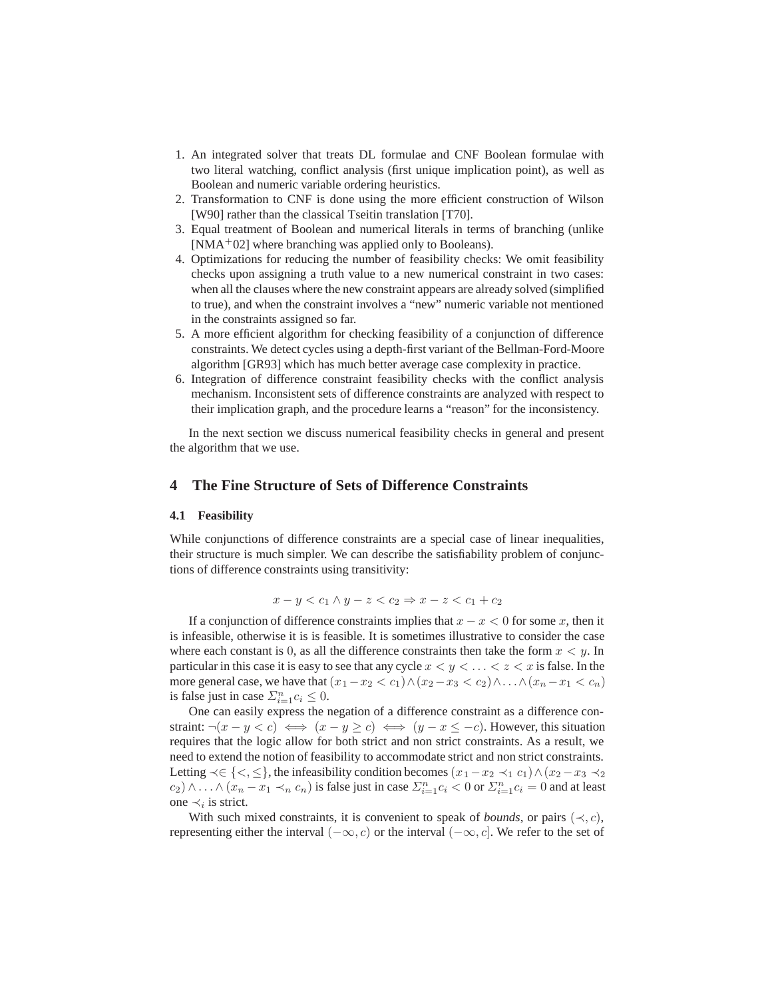- 1. An integrated solver that treats DL formulae and CNF Boolean formulae with two literal watching, conflict analysis (first unique implication point), as well as Boolean and numeric variable ordering heuristics.
- 2. Transformation to CNF is done using the more efficient construction of Wilson [W90] rather than the classical Tseitin translation [T70].
- 3. Equal treatment of Boolean and numerical literals in terms of branching (unlike [NMA $+02$ ] where branching was applied only to Booleans).
- 4. Optimizations for reducing the number of feasibility checks: We omit feasibility checks upon assigning a truth value to a new numerical constraint in two cases: when all the clauses where the new constraint appears are already solved (simplified to true), and when the constraint involves a "new" numeric variable not mentioned in the constraints assigned so far.
- 5. A more efficient algorithm for checking feasibility of a conjunction of difference constraints. We detect cycles using a depth-first variant of the Bellman-Ford-Moore algorithm [GR93] which has much better average case complexity in practice.
- 6. Integration of difference constraint feasibility checks with the conflict analysis mechanism. Inconsistent sets of difference constraints are analyzed with respect to their implication graph, and the procedure learns a "reason" for the inconsistency.

In the next section we discuss numerical feasibility checks in general and present the algorithm that we use.

## **4 The Fine Structure of Sets of Difference Constraints**

#### **4.1 Feasibility**

While conjunctions of difference constraints are a special case of linear inequalities, their structure is much simpler. We can describe the satisfiability problem of conjunctions of difference constraints using transitivity:

$$
x-y < c_1 \wedge y - z < c_2 \Rightarrow x-z < c_1 + c_2
$$

If a conjunction of difference constraints implies that  $x - x < 0$  for some x, then it is infeasible, otherwise it is is feasible. It is sometimes illustrative to consider the case where each constant is 0, as all the difference constraints then take the form  $x < y$ . In particular in this case it is easy to see that any cycle  $x < y < \ldots < z < x$  is false. In the more general case, we have that  $(x_1 - x_2 < c_1) \wedge (x_2 - x_3 < c_2) \wedge ... \wedge (x_n - x_1 < c_n)$ is false just in case  $\sum_{i=1}^{n} c_i \leq 0$ .

One can easily express the negation of a difference constraint as a difference constraint:  $\neg(x - y < c) \iff (x - y \ge c) \iff (y - x \le -c)$ . However, this situation requires that the logic allow for both strict and non strict constraints. As a result, we need to extend the notion of feasibility to accommodate strict and non strict constraints. Letting  $\prec \in \{<,\leq\}$ , the infeasibility condition becomes  $(x_1 - x_2 \prec_1 c_1) \wedge (x_2 - x_3 \prec_2$  $c_2$ ) ∧... ∧ ( $x_n - x_1 \prec_n c_n$ ) is false just in case  $\sum_{i=1}^n c_i < 0$  or  $\sum_{i=1}^n c_i = 0$  and at least one ≺*<sup>i</sup>* is strict.

With such mixed constraints, it is convenient to speak of *bounds*, or pairs  $(\prec, c)$ , representing either the interval  $(-\infty, c)$  or the interval  $(-\infty, c]$ . We refer to the set of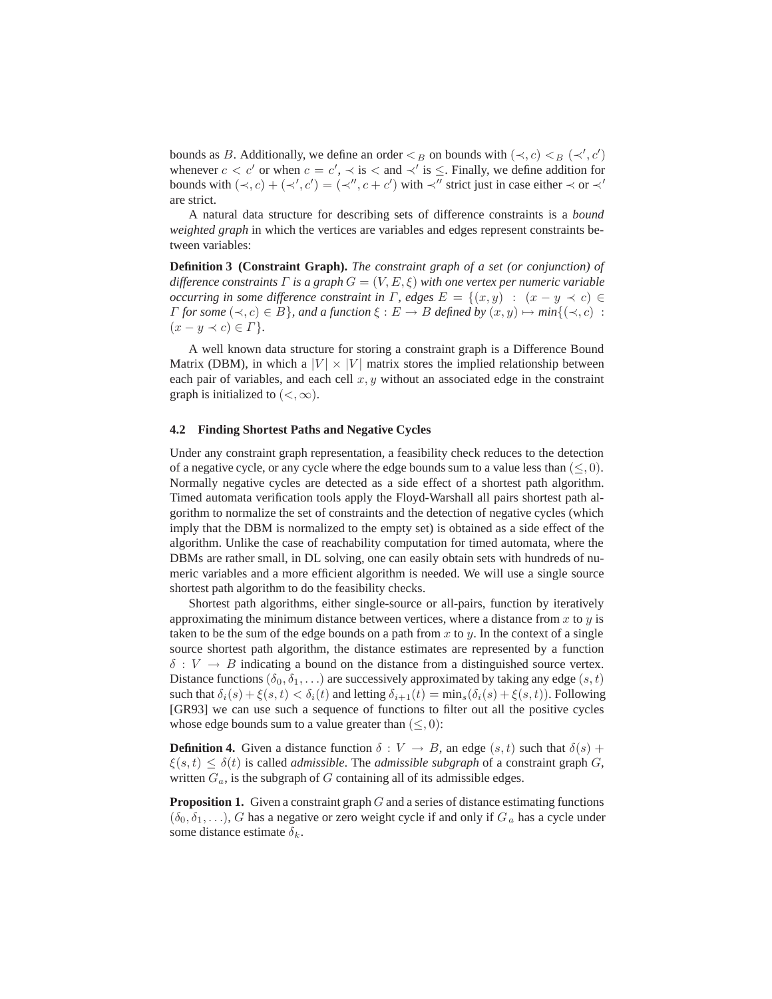bounds as *B*. Additionally, we define an order  $\lt_B$  on bounds with  $(\prec, c) \lt_B (\prec', c')$ whenever  $c < c'$  or when  $c = c'$ ,  $\prec$  is  $<$  and  $\prec'$  is  $\le$ . Finally, we define addition for bounds with  $(\prec, c) + (\prec', c') = (\prec'', c + c')$  with  $\prec''$  strict just in case either  $\prec$  or  $\prec'$ are strict.

A natural data structure for describing sets of difference constraints is a *bound weighted graph* in which the vertices are variables and edges represent constraints between variables:

**Definition 3 (Constraint Graph).** *The constraint graph of a set (or conjunction) of difference constraints*  $\Gamma$  *is a graph*  $G = (V, E, \xi)$  *with one vertex per numeric variable occurring in some difference constraint in*  $\Gamma$ *, edges*  $E = \{(x, y) : (x - y \prec c) \in$  $\Gamma$  *for some*  $(\prec, c) \in B$ *}, and a function*  $\xi : E \to B$  *defined by*  $(x, y) \mapsto min\{(\prec, c) : E \to B$  $(x - y \prec c) \in \Gamma$  }.

A well known data structure for storing a constraint graph is a Difference Bound Matrix (DBM), in which a  $|V| \times |V|$  matrix stores the implied relationship between each pair of variables, and each cell  $x, y$  without an associated edge in the constraint graph is initialized to  $(<, \infty)$ .

#### **4.2 Finding Shortest Paths and Negative Cycles**

Under any constraint graph representation, a feasibility check reduces to the detection of a negative cycle, or any cycle where the edge bounds sum to a value less than  $(<, 0)$ . Normally negative cycles are detected as a side effect of a shortest path algorithm. Timed automata verification tools apply the Floyd-Warshall all pairs shortest path algorithm to normalize the set of constraints and the detection of negative cycles (which imply that the DBM is normalized to the empty set) is obtained as a side effect of the algorithm. Unlike the case of reachability computation for timed automata, where the DBMs are rather small, in DL solving, one can easily obtain sets with hundreds of numeric variables and a more efficient algorithm is needed. We will use a single source shortest path algorithm to do the feasibility checks.

Shortest path algorithms, either single-source or all-pairs, function by iteratively approximating the minimum distance between vertices, where a distance from  $x$  to  $y$  is taken to be the sum of the edge bounds on a path from  $x$  to  $y$ . In the context of a single source shortest path algorithm, the distance estimates are represented by a function  $\delta : V \to B$  indicating a bound on the distance from a distinguished source vertex. Distance functions  $(\delta_0, \delta_1, \ldots)$  are successively approximated by taking any edge  $(s, t)$ such that  $\delta_i(s) + \xi(s, t) < \delta_i(t)$  and letting  $\delta_{i+1}(t) = \min_s(\delta_i(s) + \xi(s, t))$ . Following [GR93] we can use such a sequence of functions to filter out all the positive cycles whose edge bounds sum to a value greater than  $(\leq, 0)$ :

**Definition 4.** Given a distance function  $\delta : V \to B$ , an edge  $(s, t)$  such that  $\delta(s)$  +  $\xi(s,t) \leq \delta(t)$  is called *admissible*. The *admissible subgraph* of a constraint graph G, written  $G_a$ , is the subgraph of  $G$  containing all of its admissible edges.

**Proposition 1.** Given a constraint graph G and a series of distance estimating functions  $(\delta_0, \delta_1, \ldots)$ , G has a negative or zero weight cycle if and only if  $G_a$  has a cycle under some distance estimate  $\delta_k$ .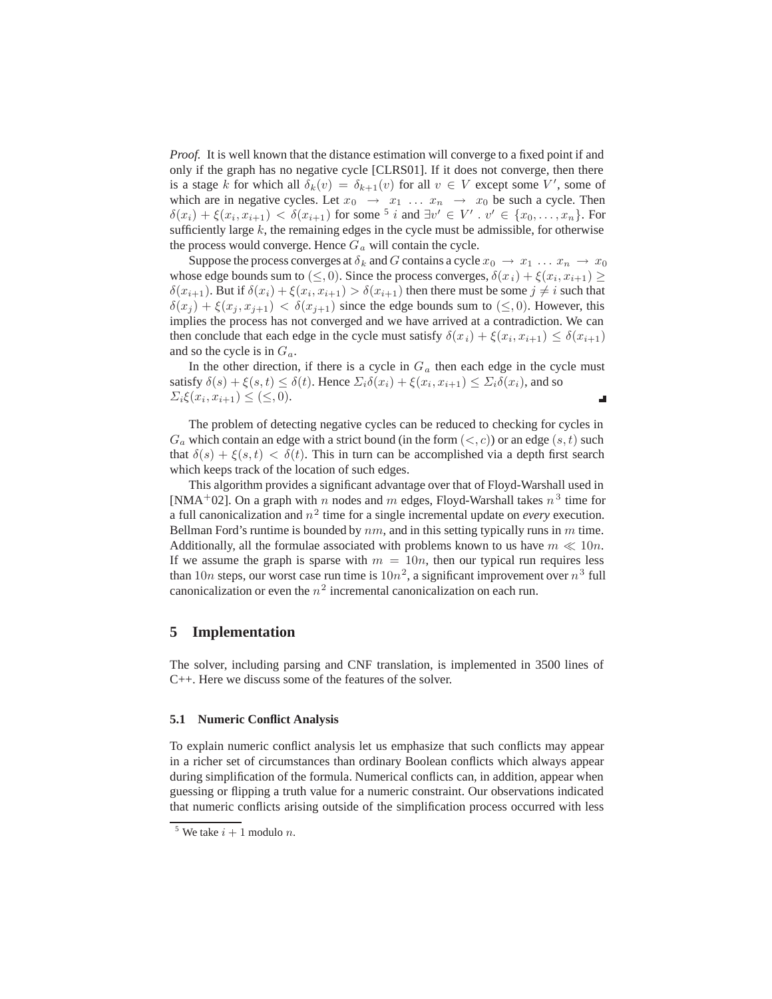*Proof.* It is well known that the distance estimation will converge to a fixed point if and only if the graph has no negative cycle [CLRS01]. If it does not converge, then there is a stage k for which all  $\delta_k(v) = \delta_{k+1}(v)$  for all  $v \in V$  except some V', some of which are in negative cycles. Let  $x_0 \rightarrow x_1 \ldots x_n \rightarrow x_0$  be such a cycle. Then  $\delta(x_i) + \xi(x_i, x_{i+1}) < \delta(x_{i+1})$  for some <sup>5</sup> *i* and  $\exists v' \in V'$  .  $v' \in \{x_0, \ldots, x_n\}$ . For sufficiently large  $k$ , the remaining edges in the cycle must be admissible, for otherwise the process would converge. Hence  $G_a$  will contain the cycle.

Suppose the process converges at  $\delta_k$  and G contains a cycle  $x_0 \to x_1 \dots x_n \to x_0$ whose edge bounds sum to  $(\leq, 0)$ . Since the process converges,  $\delta(x_i) + \xi(x_i, x_{i+1}) \geq$  $\delta(x_{i+1})$ . But if  $\delta(x_i) + \xi(x_i, x_{i+1}) > \delta(x_{i+1})$  then there must be some  $j \neq i$  such that  $\delta(x_j) + \xi(x_j, x_{j+1}) < \delta(x_{j+1})$  since the edge bounds sum to  $(\leq, 0)$ . However, this implies the process has not converged and we have arrived at a contradiction. We can then conclude that each edge in the cycle must satisfy  $\delta(x_i) + \xi(x_i, x_{i+1}) \leq \delta(x_{i+1})$ and so the cycle is in G*a*.

In the other direction, if there is a cycle in  $G_a$  then each edge in the cycle must satisfy  $\delta(s) + \xi(s,t) \leq \delta(t)$ . Hence  $\Sigma_i \delta(x_i) + \xi(x_i, x_{i+1}) \leq \Sigma_i \delta(x_i)$ , and so  $\Sigma_i \xi(x_i, x_{i+1}) \leq (\leq, 0).$ Ľ,

The problem of detecting negative cycles can be reduced to checking for cycles in  $G_a$  which contain an edge with a strict bound (in the form  $(<, c$ )) or an edge  $(s, t)$  such that  $\delta(s) + \xi(s, t) < \delta(t)$ . This in turn can be accomplished via a depth first search which keeps track of the location of such edges.

This algorithm provides a significant advantage over that of Floyd-Warshall used in [NMA+02]. On a graph with n nodes and m edges, Floyd-Warshall takes  $n<sup>3</sup>$  time for a full canonicalization and  $n^2$  time for a single incremental update on *every* execution. Bellman Ford's runtime is bounded by  $nm$ , and in this setting typically runs in  $m$  time. Additionally, all the formulae associated with problems known to us have  $m \ll 10n$ . If we assume the graph is sparse with  $m = 10n$ , then our typical run requires less than 10n steps, our worst case run time is  $10n^2$ , a significant improvement over  $n^3$  full canonicalization or even the  $n^2$  incremental canonicalization on each run.

## **5 Implementation**

The solver, including parsing and CNF translation, is implemented in 3500 lines of C++. Here we discuss some of the features of the solver.

## **5.1 Numeric Conflict Analysis**

To explain numeric conflict analysis let us emphasize that such conflicts may appear in a richer set of circumstances than ordinary Boolean conflicts which always appear during simplification of the formula. Numerical conflicts can, in addition, appear when guessing or flipping a truth value for a numeric constraint. Our observations indicated that numeric conflicts arising outside of the simplification process occurred with less

<sup>&</sup>lt;sup>5</sup> We take  $i + 1$  modulo *n*.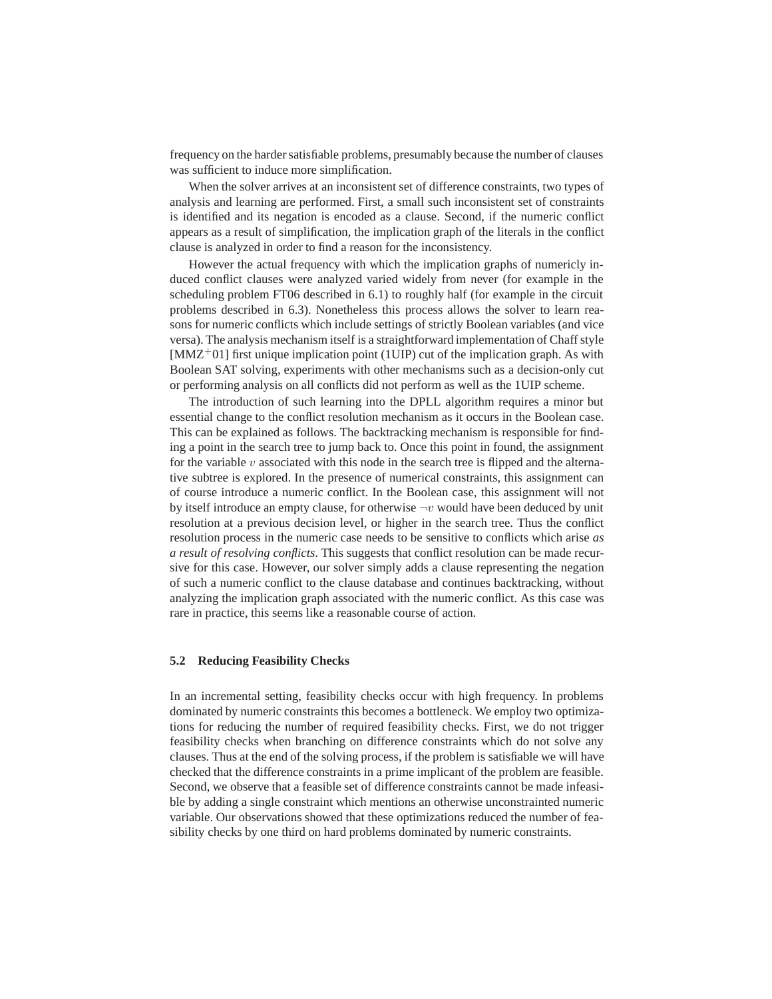frequency on the harder satisfiable problems, presumably because the number of clauses was sufficient to induce more simplification.

When the solver arrives at an inconsistent set of difference constraints, two types of analysis and learning are performed. First, a small such inconsistent set of constraints is identified and its negation is encoded as a clause. Second, if the numeric conflict appears as a result of simplification, the implication graph of the literals in the conflict clause is analyzed in order to find a reason for the inconsistency.

However the actual frequency with which the implication graphs of numericly induced conflict clauses were analyzed varied widely from never (for example in the scheduling problem FT06 described in 6.1) to roughly half (for example in the circuit problems described in 6.3). Nonetheless this process allows the solver to learn reasons for numeric conflicts which include settings of strictly Boolean variables (and vice versa). The analysis mechanism itself is a straightforward implementation of Chaff style  $[MMZ<sup>+</sup>01]$  first unique implication point (1UIP) cut of the implication graph. As with Boolean SAT solving, experiments with other mechanisms such as a decision-only cut or performing analysis on all conflicts did not perform as well as the 1UIP scheme.

The introduction of such learning into the DPLL algorithm requires a minor but essential change to the conflict resolution mechanism as it occurs in the Boolean case. This can be explained as follows. The backtracking mechanism is responsible for finding a point in the search tree to jump back to. Once this point in found, the assignment for the variable  $v$  associated with this node in the search tree is flipped and the alternative subtree is explored. In the presence of numerical constraints, this assignment can of course introduce a numeric conflict. In the Boolean case, this assignment will not by itself introduce an empty clause, for otherwise  $\neg v$  would have been deduced by unit resolution at a previous decision level, or higher in the search tree. Thus the conflict resolution process in the numeric case needs to be sensitive to conflicts which arise *as a result of resolving conflicts*. This suggests that conflict resolution can be made recursive for this case. However, our solver simply adds a clause representing the negation of such a numeric conflict to the clause database and continues backtracking, without analyzing the implication graph associated with the numeric conflict. As this case was rare in practice, this seems like a reasonable course of action.

### **5.2 Reducing Feasibility Checks**

In an incremental setting, feasibility checks occur with high frequency. In problems dominated by numeric constraints this becomes a bottleneck. We employ two optimizations for reducing the number of required feasibility checks. First, we do not trigger feasibility checks when branching on difference constraints which do not solve any clauses. Thus at the end of the solving process, if the problem is satisfiable we will have checked that the difference constraints in a prime implicant of the problem are feasible. Second, we observe that a feasible set of difference constraints cannot be made infeasible by adding a single constraint which mentions an otherwise unconstrainted numeric variable. Our observations showed that these optimizations reduced the number of feasibility checks by one third on hard problems dominated by numeric constraints.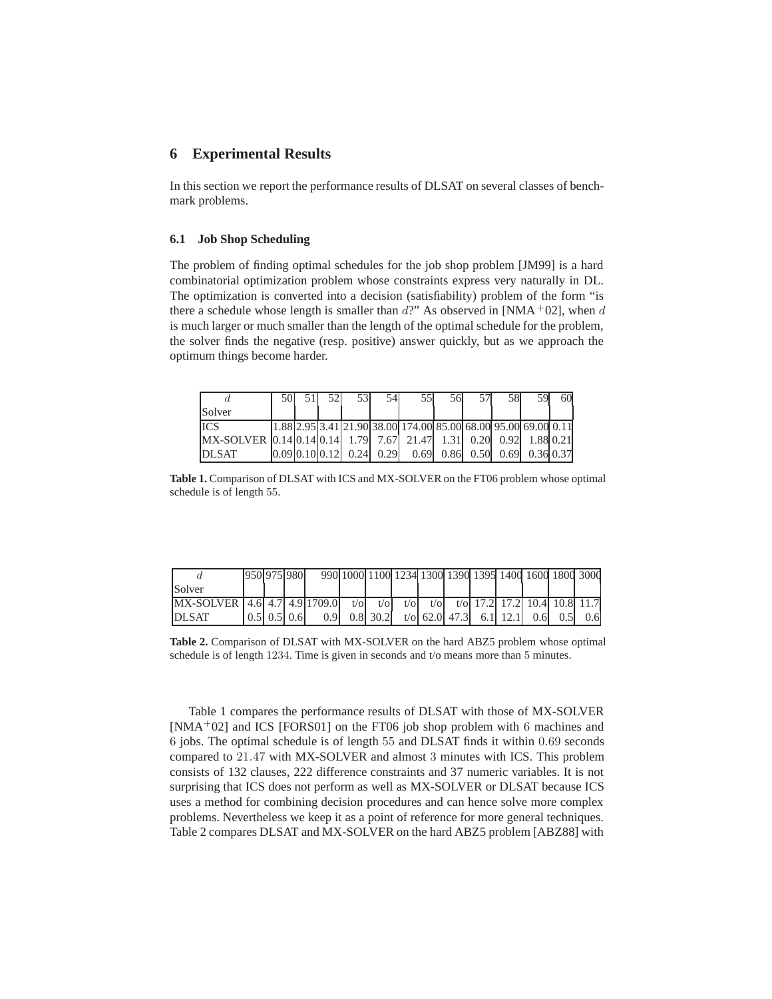# **6 Experimental Results**

In this section we report the performance results of DLSAT on several classes of benchmark problems.

## **6.1 Job Shop Scheduling**

The problem of finding optimal schedules for the job shop problem [JM99] is a hard combinatorial optimization problem whose constraints express very naturally in DL. The optimization is converted into a decision (satisfiability) problem of the form "is there a schedule whose length is smaller than  $d$ ?" As observed in [NMA +02], when d is much larger or much smaller than the length of the optimal schedule for the problem, the solver finds the negative (resp. positive) answer quickly, but as we approach the optimum things become harder.

|                                                                   |  | 52 |                           |                                                                | 561                             |  | 59 | 60 |
|-------------------------------------------------------------------|--|----|---------------------------|----------------------------------------------------------------|---------------------------------|--|----|----|
| Solver                                                            |  |    |                           |                                                                |                                 |  |    |    |
| <b>ICS</b>                                                        |  |    |                           | 1.88 2.95 3.41 21.90 38.00 174.00 85.00 68.00 95.00 69.00 0.11 |                                 |  |    |    |
| MX-SOLVER 0.14 0.14 0.14 1.79 7.67 21.47 1.31 0.20 0.92 1.88 0.21 |  |    |                           |                                                                |                                 |  |    |    |
| <b>DLSAT</b>                                                      |  |    | [0.09]0.10]0.12]0.24]0.29 |                                                                | $0.69$ 0.86 0.50 0.69 0.36 0.37 |  |    |    |

**Table 1.** Comparison of DLSAT with ICS and MX-SOLVER on the FT06 problem whose optimal schedule is of length 55.

|                              | 950 975 980 |                       |                  | 990 1000 1100 1234 1300 1390 1395 1400 1600 1800 3000 |            |            |                                    |  |     |     |     |
|------------------------------|-------------|-----------------------|------------------|-------------------------------------------------------|------------|------------|------------------------------------|--|-----|-----|-----|
| Solver                       |             |                       |                  |                                                       |            |            |                                    |  |     |     |     |
| MX-SOLVER 4.6 4.7 4.9 1709.0 |             |                       |                  | $t/\alpha$                                            | $t/\sigma$ | $t/\alpha$ | t/ol t/ol 17.2 17.2 10.4 10.8 11.7 |  |     |     |     |
| <b>DLSAT</b>                 |             | $0.5$   $0.5$   $0.6$ | 0.9 <sub>l</sub> |                                                       | $0.8$ 30.2 |            | t/ol $62.0$   47.3  $6.1$   12.1   |  | 0.6 | 0.5 | 0.6 |

**Table 2.** Comparison of DLSAT with MX-SOLVER on the hard ABZ5 problem whose optimal schedule is of length 1234. Time is given in seconds and t/o means more than 5 minutes.

Table 1 compares the performance results of DLSAT with those of MX-SOLVER [NMA<sup>+</sup>02] and ICS [FORS01] on the FT06 job shop problem with 6 machines and 6 jobs. The optimal schedule is of length 55 and DLSAT finds it within 0.69 seconds compared to 21.47 with MX-SOLVER and almost 3 minutes with ICS. This problem consists of 132 clauses, 222 difference constraints and 37 numeric variables. It is not surprising that ICS does not perform as well as MX-SOLVER or DLSAT because ICS uses a method for combining decision procedures and can hence solve more complex problems. Nevertheless we keep it as a point of reference for more general techniques. Table 2 compares DLSAT and MX-SOLVER on the hard ABZ5 problem [ABZ88] with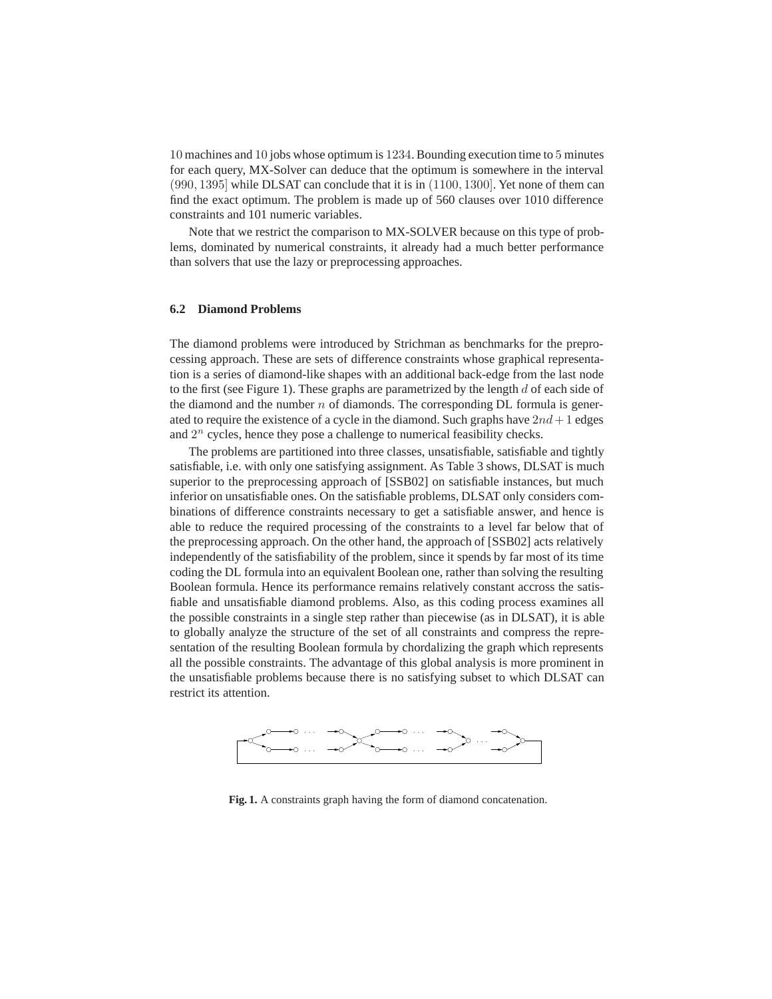10 machines and 10 jobs whose optimum is 1234. Bounding execution time to 5 minutes for each query, MX-Solver can deduce that the optimum is somewhere in the interval (990, 1395] while DLSAT can conclude that it is in (1100, 1300]. Yet none of them can find the exact optimum. The problem is made up of 560 clauses over 1010 difference constraints and 101 numeric variables.

Note that we restrict the comparison to MX-SOLVER because on this type of problems, dominated by numerical constraints, it already had a much better performance than solvers that use the lazy or preprocessing approaches.

#### **6.2 Diamond Problems**

The diamond problems were introduced by Strichman as benchmarks for the preprocessing approach. These are sets of difference constraints whose graphical representation is a series of diamond-like shapes with an additional back-edge from the last node to the first (see Figure 1). These graphs are parametrized by the length  $d$  of each side of the diamond and the number  $n$  of diamonds. The corresponding DL formula is generated to require the existence of a cycle in the diamond. Such graphs have  $2nd+1$  edges and  $2^n$  cycles, hence they pose a challenge to numerical feasibility checks.

The problems are partitioned into three classes, unsatisfiable, satisfiable and tightly satisfiable, i.e. with only one satisfying assignment. As Table 3 shows, DLSAT is much superior to the preprocessing approach of [SSB02] on satisfiable instances, but much inferior on unsatisfiable ones. On the satisfiable problems, DLSAT only considers combinations of difference constraints necessary to get a satisfiable answer, and hence is able to reduce the required processing of the constraints to a level far below that of the preprocessing approach. On the other hand, the approach of [SSB02] acts relatively independently of the satisfiability of the problem, since it spends by far most of its time coding the DL formula into an equivalent Boolean one, rather than solving the resulting Boolean formula. Hence its performance remains relatively constant accross the satisfiable and unsatisfiable diamond problems. Also, as this coding process examines all the possible constraints in a single step rather than piecewise (as in DLSAT), it is able to globally analyze the structure of the set of all constraints and compress the representation of the resulting Boolean formula by chordalizing the graph which represents all the possible constraints. The advantage of this global analysis is more prominent in the unsatisfiable problems because there is no satisfying subset to which DLSAT can restrict its attention.



**Fig. 1.** A constraints graph having the form of diamond concatenation.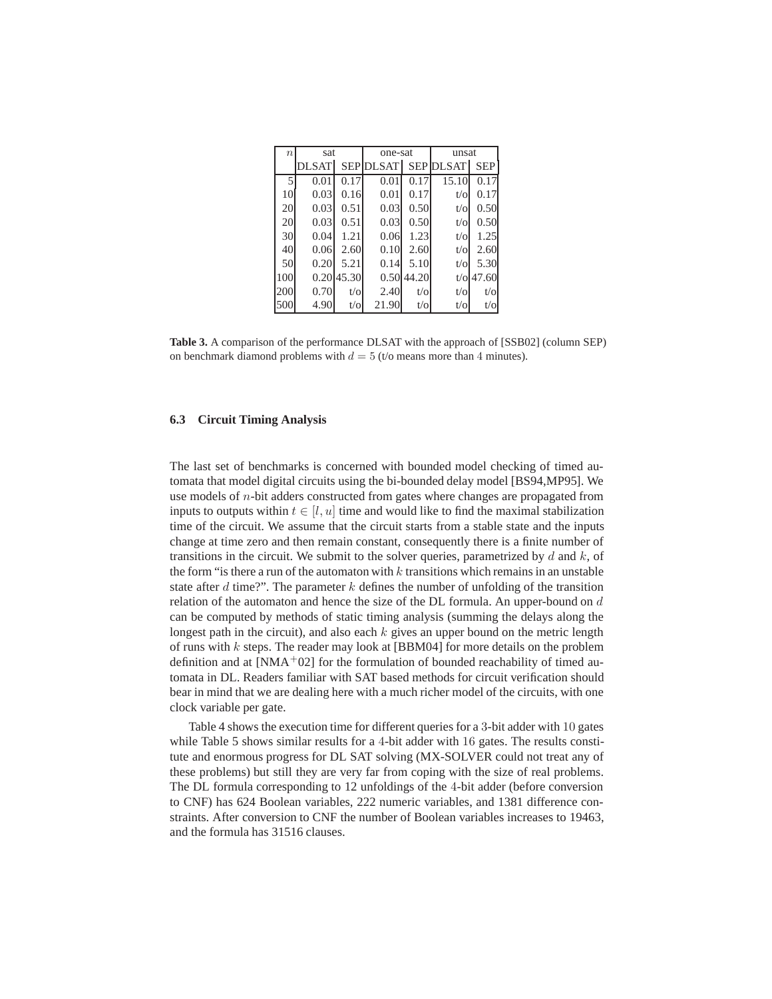| $\boldsymbol{n}$ | sat          |       | one-sat          |            | unsat            |              |
|------------------|--------------|-------|------------------|------------|------------------|--------------|
|                  | <b>DLSAT</b> |       | <b>SEP DLSAT</b> |            | <b>SEP DLSAT</b> | <b>SEP</b>   |
| $\mathcal{F}$    | 0.01         | 0.17  | 0.01             | 0.17       | 15.10            | 0.17         |
| 10               | 0.03         | 0.16  | 0.01             | 0.17       | $t$ /ol          | 0.17         |
| 20               | 0.03         | 0.51  | 0.03             | 0.50       | $t$ /ol          | 0.50         |
| 20               | 0.03         | 0.51  | 0.03             | 0.50       | $t$ /ol          | 0.50         |
| 30               | 0.04         | 1.21  | 0.06             | 1.23       | $t/\alpha$       | 1.25         |
| 40               | 0.06         | 2.60  | 0.10             | 2.60       | $t/\alpha$       | 2.60         |
| 50               | 0.20         | 5.21  | 0.14             | 5.10       | $t$ /ol          | 5.30         |
| 100              | 0.20         | 45.30 | 0.50             | 44.20      |                  | $t$ /o 47.60 |
| 200              | 0.70         | t/o   | 2.40             | $t/\alpha$ | $t/\text{o}$     | $t/\sigma$   |
| 500              | 4.90         | t/o   | 21.90            | t/o        | $t/\mathrm{o}$   | t/o          |

**Table 3.** A comparison of the performance DLSAT with the approach of [SSB02] (column SEP) on benchmark diamond problems with  $d = 5$  (t/o means more than 4 minutes).

## **6.3 Circuit Timing Analysis**

The last set of benchmarks is concerned with bounded model checking of timed automata that model digital circuits using the bi-bounded delay model [BS94,MP95]. We use models of n-bit adders constructed from gates where changes are propagated from inputs to outputs within  $t \in [l, u]$  time and would like to find the maximal stabilization time of the circuit. We assume that the circuit starts from a stable state and the inputs change at time zero and then remain constant, consequently there is a finite number of transitions in the circuit. We submit to the solver queries, parametrized by  $d$  and  $k$ , of the form "is there a run of the automaton with  $k$  transitions which remains in an unstable state after  $d$  time?". The parameter  $k$  defines the number of unfolding of the transition relation of the automaton and hence the size of the DL formula. An upper-bound on  $d$ can be computed by methods of static timing analysis (summing the delays along the longest path in the circuit), and also each  $k$  gives an upper bound on the metric length of runs with  $k$  steps. The reader may look at [BBM04] for more details on the problem definition and at  $[NMA+02]$  for the formulation of bounded reachability of timed automata in DL. Readers familiar with SAT based methods for circuit verification should bear in mind that we are dealing here with a much richer model of the circuits, with one clock variable per gate.

Table 4 shows the execution time for different queries for a 3-bit adder with 10 gates while Table 5 shows similar results for a 4-bit adder with 16 gates. The results constitute and enormous progress for DL SAT solving (MX-SOLVER could not treat any of these problems) but still they are very far from coping with the size of real problems. The DL formula corresponding to 12 unfoldings of the 4-bit adder (before conversion to CNF) has 624 Boolean variables, 222 numeric variables, and 1381 difference constraints. After conversion to CNF the number of Boolean variables increases to 19463, and the formula has 31516 clauses.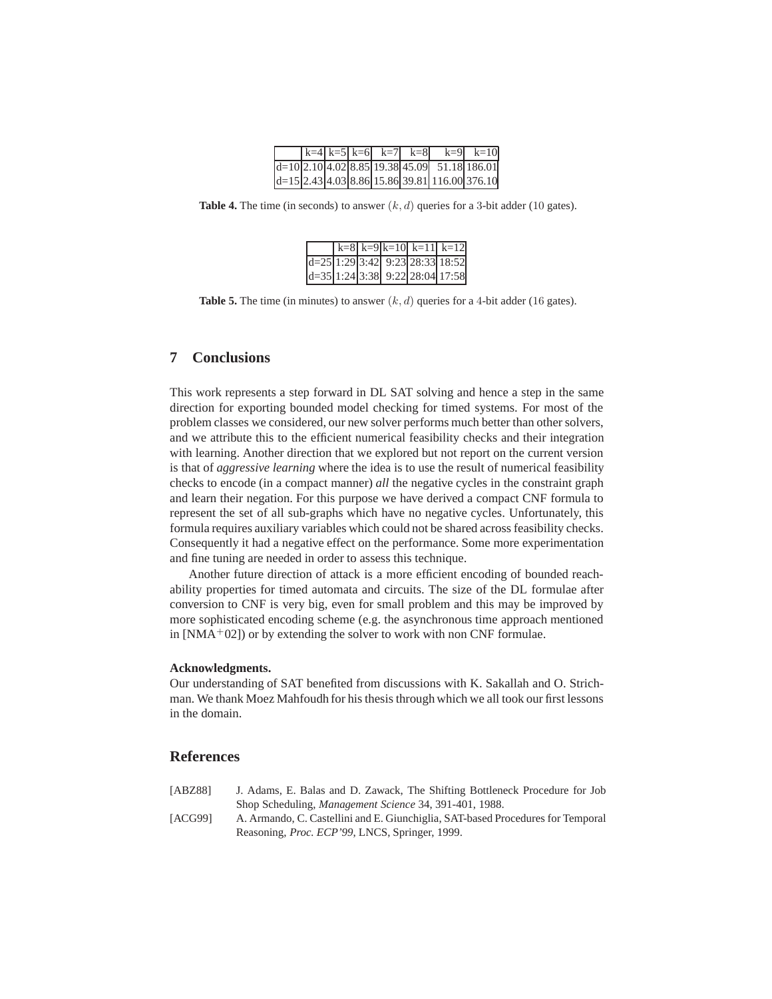|  |  |  | $k=4$ k=5 k=6 k=7 k=8 k=9 k=10                  |
|--|--|--|-------------------------------------------------|
|  |  |  | $d=10$ 2.10 4.02 8.85 19.38 45.09 51.18 186.01  |
|  |  |  | $d=15$ 2.43 4.03 8.86 15.86 39.81 116.00 376.10 |

**Table 4.** The time (in seconds) to answer (*k, d*) queries for a 3-bit adder (10 gates).

|  |  | $k=8$ k=9 k=10 k=11 k=12                                                         |  |
|--|--|----------------------------------------------------------------------------------|--|
|  |  | $d=25$ 1:29 3:42 9:23 28:33 18:52                                                |  |
|  |  | $\left  d = 35 \right  1:24 \left  3:38 \right  9:22 \left  28:04 \right  17:58$ |  |

**Table 5.** The time (in minutes) to answer (*k, d*) queries for a 4-bit adder (16 gates).

## **7 Conclusions**

This work represents a step forward in DL SAT solving and hence a step in the same direction for exporting bounded model checking for timed systems. For most of the problem classes we considered, our new solver performs much better than other solvers, and we attribute this to the efficient numerical feasibility checks and their integration with learning. Another direction that we explored but not report on the current version is that of *aggressive learning* where the idea is to use the result of numerical feasibility checks to encode (in a compact manner) *all* the negative cycles in the constraint graph and learn their negation. For this purpose we have derived a compact CNF formula to represent the set of all sub-graphs which have no negative cycles. Unfortunately, this formula requires auxiliary variables which could not be shared across feasibility checks. Consequently it had a negative effect on the performance. Some more experimentation and fine tuning are needed in order to assess this technique.

Another future direction of attack is a more efficient encoding of bounded reachability properties for timed automata and circuits. The size of the DL formulae after conversion to CNF is very big, even for small problem and this may be improved by more sophisticated encoding scheme (e.g. the asynchronous time approach mentioned in  $[NMA+02]$ ) or by extending the solver to work with non CNF formulae.

#### **Acknowledgments.**

Our understanding of SAT benefited from discussions with K. Sakallah and O. Strichman. We thank Moez Mahfoudh for his thesis through which we all took our first lessons in the domain.

## **References**

[ABZ88] J. Adams, E. Balas and D. Zawack, The Shifting Bottleneck Procedure for Job Shop Scheduling, *Management Science* 34, 391-401, 1988. [ACG99] A. Armando, C. Castellini and E. Giunchiglia, SAT-based Procedures for Temporal Reasoning, *Proc. ECP'99*, LNCS, Springer, 1999.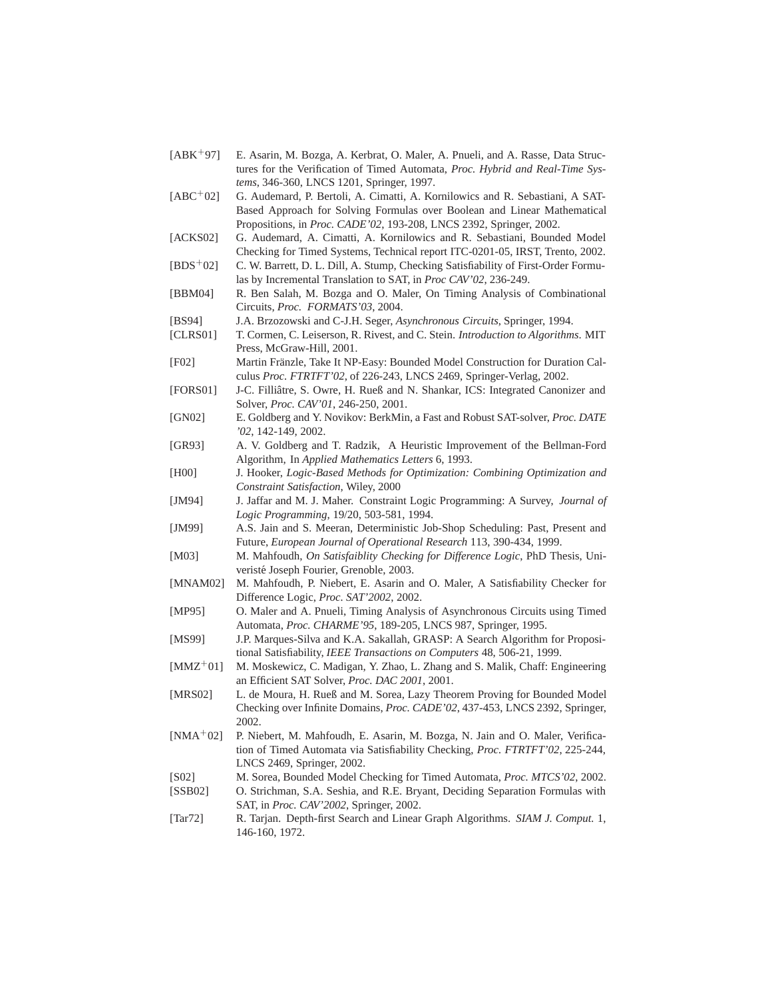- [ABK<sup>+</sup>97] E. Asarin, M. Bozga, A. Kerbrat, O. Maler, A. Pnueli, and A. Rasse, Data Structures for the Verification of Timed Automata, *Proc. Hybrid and Real-Time Systems*, 346-360, LNCS 1201, Springer, 1997.
- [ABC<sup>+</sup>02] G. Audemard, P. Bertoli, A. Cimatti, A. Kornilowics and R. Sebastiani, A SAT-Based Approach for Solving Formulas over Boolean and Linear Mathematical Propositions, in *Proc. CADE'02*, 193-208, LNCS 2392, Springer, 2002.
- [ACKS02] G. Audemard, A. Cimatti, A. Kornilowics and R. Sebastiani, Bounded Model Checking for Timed Systems, Technical report ITC-0201-05, IRST, Trento, 2002.
- [BDS<sup>+</sup>02] C. W. Barrett, D. L. Dill, A. Stump, Checking Satisfiability of First-Order Formulas by Incremental Translation to SAT, in *Proc CAV'02*, 236-249.
- [BBM04] R. Ben Salah, M. Bozga and O. Maler, On Timing Analysis of Combinational Circuits, *Proc. FORMATS'03*, 2004.
- [BS94] J.A. Brzozowski and C-J.H. Seger, *Asynchronous Circuits*, Springer, 1994.
- [CLRS01] T. Cormen, C. Leiserson, R. Rivest, and C. Stein. *Introduction to Algorithms*. MIT Press, McGraw-Hill, 2001.
- [F02] Martin Fränzle, Take It NP-Easy: Bounded Model Construction for Duration Calculus *Proc. FTRTFT'02*, of 226-243, LNCS 2469, Springer-Verlag, 2002.
- [FORS01] J-C. Filliâtre, S. Owre, H. Rueß and N. Shankar, ICS: Integrated Canonizer and Solver, *Proc. CAV'01*, 246-250, 2001.
- [GN02] E. Goldberg and Y. Novikov: BerkMin, a Fast and Robust SAT-solver, *Proc. DATE '02*, 142-149, 2002.
- [GR93] A. V. Goldberg and T. Radzik, A Heuristic Improvement of the Bellman-Ford Algorithm, In *Applied Mathematics Letters* 6, 1993.
- [H00] J. Hooker, *Logic-Based Methods for Optimization: Combining Optimization and Constraint Satisfaction*, Wiley, 2000
- [JM94] J. Jaffar and M. J. Maher. Constraint Logic Programming: A Survey, *Journal of Logic Programming*, 19/20, 503-581, 1994.
- [JM99] A.S. Jain and S. Meeran, Deterministic Job-Shop Scheduling: Past, Present and Future, *European Journal of Operational Research* 113, 390-434, 1999.
- [M03] M. Mahfoudh, *On Satisfaiblity Checking for Difference Logic*, PhD Thesis, Univeristé Joseph Fourier, Grenoble, 2003.
- [MNAM02] M. Mahfoudh, P. Niebert, E. Asarin and O. Maler, A Satisfiability Checker for Difference Logic, *Proc. SAT'2002*, 2002.
- [MP95] O. Maler and A. Pnueli, Timing Analysis of Asynchronous Circuits using Timed Automata, *Proc. CHARME'95*, 189-205, LNCS 987, Springer, 1995.
- [MS99] J.P. Marques-Silva and K.A. Sakallah, GRASP: A Search Algorithm for Propositional Satisfiability, *IEEE Transactions on Computers* 48, 506-21, 1999.
- [MMZ<sup>+</sup>01] M. Moskewicz, C. Madigan, Y. Zhao, L. Zhang and S. Malik, Chaff: Engineering an Efficient SAT Solver, *Proc. DAC 2001*, 2001.
- [MRS02] L. de Moura, H. Rueß and M. Sorea, Lazy Theorem Proving for Bounded Model Checking over Infinite Domains, *Proc. CADE'02*, 437-453, LNCS 2392, Springer, 2002.
- [NMA<sup>+</sup>02] P. Niebert, M. Mahfoudh, E. Asarin, M. Bozga, N. Jain and O. Maler, Verification of Timed Automata via Satisfiability Checking, *Proc. FTRTFT'02*, 225-244, LNCS 2469, Springer, 2002.
- [S02] M. Sorea, Bounded Model Checking for Timed Automata, *Proc. MTCS'02*, 2002.
- [SSB02] O. Strichman, S.A. Seshia, and R.E. Bryant, Deciding Separation Formulas with SAT, in *Proc. CAV'2002*, Springer, 2002.
- [Tar72] R. Tarjan. Depth-first Search and Linear Graph Algorithms. *SIAM J. Comput.* 1, 146-160, 1972.